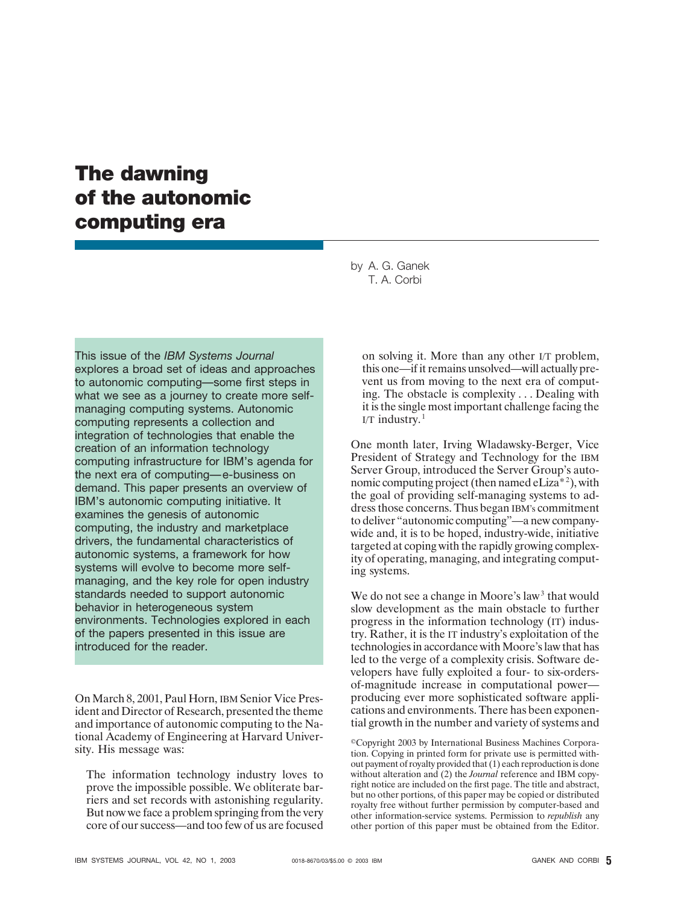# **The dawning of the autonomic computing era**

This issue of the *IBM Systems Journal* explores a broad set of ideas and approaches to autonomic computing—some first steps in what we see as a journey to create more selfmanaging computing systems. Autonomic computing represents a collection and integration of technologies that enable the creation of an information technology computing infrastructure for IBM's agenda for the next era of computing—e-business on demand. This paper presents an overview of IBM's autonomic computing initiative. It examines the genesis of autonomic computing, the industry and marketplace drivers, the fundamental characteristics of autonomic systems, a framework for how systems will evolve to become more selfmanaging, and the key role for open industry standards needed to support autonomic behavior in heterogeneous system environments. Technologies explored in each of the papers presented in this issue are introduced for the reader.

On March 8, 2001, Paul Horn, IBM Senior Vice President and Director of Research, presented the theme and importance of autonomic computing to the National Academy of Engineering at Harvard University. His message was:

The information technology industry loves to prove the impossible possible. We obliterate barriers and set records with astonishing regularity. But now we face a problem springing from the very core of our success—and too few of us are focused by A. G. Ganek T. A. Corbi

> on solving it. More than any other I/T problem, this one—if it remains unsolved—will actually prevent us from moving to the next era of computing. The obstacle is complexity... Dealing with it is the single most important challenge facing the I/T industry. $1$

One month later, Irving Wladawsky-Berger, Vice President of Strategy and Technology for the IBM Server Group, introduced the Server Group's autonomic computing project (then named eLiza\*2 ), with the goal of providing self-managing systems to address those concerns. Thus began IBM's commitment to deliver "autonomic computing"—a new companywide and, it is to be hoped, industry-wide, initiative targeted at coping with the rapidly growing complexity of operating, managing, and integrating computing systems.

We do not see a change in Moore's law<sup>3</sup> that would slow development as the main obstacle to further progress in the information technology (IT) industry. Rather, it is the IT industry's exploitation of the technologies in accordance with Moore's law that has led to the verge of a complexity crisis. Software developers have fully exploited a four- to six-ordersof-magnitude increase in computational power producing ever more sophisticated software applications and environments. There has been exponential growth in the number and variety of systems and

Copyright 2003 by International Business Machines Corporation. Copying in printed form for private use is permitted without payment of royalty provided that (1) each reproduction is done without alteration and (2) the *Journal* reference and IBM copyright notice are included on the first page. The title and abstract, but no other portions, of this paper may be copied or distributed royalty free without further permission by computer-based and other information-service systems. Permission to *republish* any other portion of this paper must be obtained from the Editor.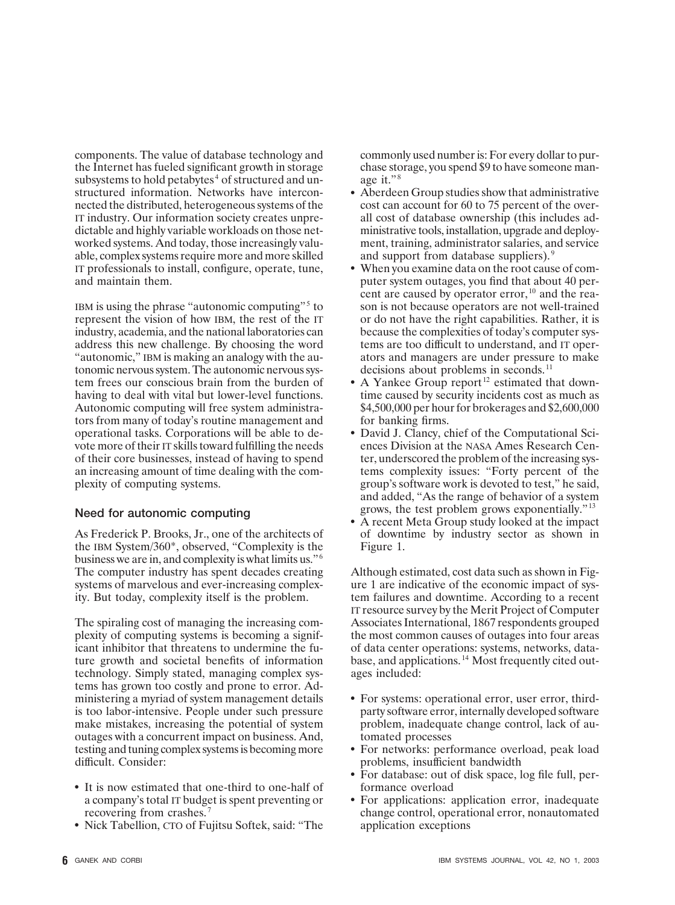components. The value of database technology and the Internet has fueled significant growth in storage subsystems to hold petabytes<sup>4</sup> of structured and unstructured information. Networks have interconnected the distributed, heterogeneous systems of the IT industry. Our information society creates unpredictable and highly variable workloads on those networked systems. And today, those increasingly valuable, complex systems require more and more skilled IT professionals to install, configure, operate, tune, and maintain them.

IBM is using the phrase "autonomic computing"  $5$  to represent the vision of how IBM, the rest of the IT industry, academia, and the national laboratories can address this new challenge. By choosing the word "autonomic," IBM is making an analogy with the autonomic nervous system. The autonomic nervous system frees our conscious brain from the burden of having to deal with vital but lower-level functions. Autonomic computing will free system administrators from many of today's routine management and operational tasks. Corporations will be able to devote more of their IT skills toward fulfilling the needs of their core businesses, instead of having to spend an increasing amount of time dealing with the complexity of computing systems.

### **Need for autonomic computing**

As Frederick P. Brooks, Jr., one of the architects of the IBM System/360\*, observed, "Complexity is the business we are in, and complexity is what limits us." <sup>6</sup> The computer industry has spent decades creating systems of marvelous and ever-increasing complexity. But today, complexity itself is the problem.

The spiraling cost of managing the increasing complexity of computing systems is becoming a significant inhibitor that threatens to undermine the future growth and societal benefits of information technology. Simply stated, managing complex systems has grown too costly and prone to error. Administering a myriad of system management details is too labor-intensive. People under such pressure make mistakes, increasing the potential of system outages with a concurrent impact on business. And, testing and tuning complex systems is becoming more difficult. Consider:

- It is now estimated that one-third to one-half of a company's total IT budget is spent preventing or recovering from crashes.<sup>7</sup>
- Nick Tabellion, CTO of Fujitsu Softek, said: "The

commonly used number is: For every dollar to purchase storage, you spend \$9 to have someone manage it."<sup>8</sup>

- Aberdeen Group studies show that administrative cost can account for 60 to 75 percent of the overall cost of database ownership (this includes administrative tools, installation, upgrade and deployment, training, administrator salaries, and service and support from database suppliers).<sup>9</sup>
- When you examine data on the root cause of computer system outages, you find that about 40 percent are caused by operator error,<sup>10</sup> and the reason is not because operators are not well-trained or do not have the right capabilities. Rather, it is because the complexities of today's computer systems are too difficult to understand, and IT operators and managers are under pressure to make decisions about problems in seconds.<sup>11</sup>
- A Yankee Group report<sup>12</sup> estimated that downtime caused by security incidents cost as much as \$4,500,000 per hour for brokerages and \$2,600,000 for banking firms.
- David J. Clancy, chief of the Computational Sciences Division at the NASA Ames Research Center, underscored the problem of the increasing systems complexity issues: "Forty percent of the group's software work is devoted to test," he said, and added, "As the range of behavior of a system grows, the test problem grows exponentially." <sup>13</sup>
- A recent Meta Group study looked at the impact of downtime by industry sector as shown in Figure 1.

Although estimated, cost data such as shown in Figure 1 are indicative of the economic impact of system failures and downtime. According to a recent IT resource survey by the Merit Project of Computer Associates International, 1867 respondents grouped the most common causes of outages into four areas of data center operations: systems, networks, database, and applications.<sup>14</sup> Most frequently cited outages included:

- For systems: operational error, user error, thirdparty software error, internally developed software problem, inadequate change control, lack of automated processes
- For networks: performance overload, peak load problems, insufficient bandwidth
- For database: out of disk space, log file full, performance overload
- For applications: application error, inadequate change control, operational error, nonautomated application exceptions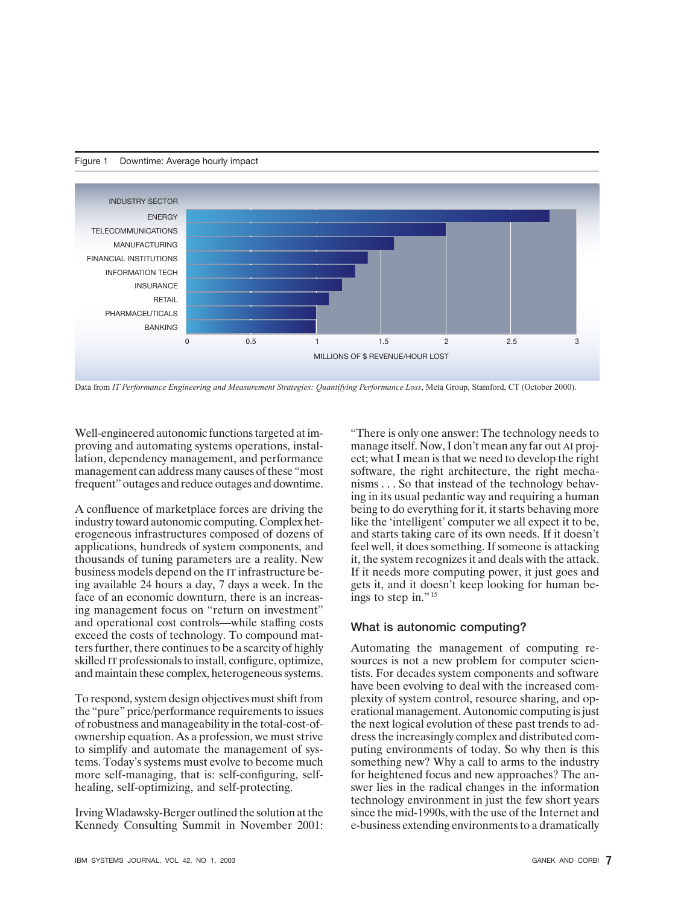



Data from *IT Performance Engineering and Measurement Strategies: Quantifying Performance Loss*, Meta Group, Stamford, CT (October 2000).

Well-engineered autonomic functions targeted at improving and automating systems operations, installation, dependency management, and performance management can address many causes of these "most frequent" outages and reduce outages and downtime.

A confluence of marketplace forces are driving the industry toward autonomic computing. Complex heterogeneous infrastructures composed of dozens of applications, hundreds of system components, and thousands of tuning parameters are a reality. New business models depend on the IT infrastructure being available 24 hours a day, 7 days a week. In the face of an economic downturn, there is an increasing management focus on "return on investment" and operational cost controls—while staffing costs exceed the costs of technology. To compound matters further, there continues to be a scarcity of highly skilled IT professionals to install, configure, optimize, and maintain these complex, heterogeneous systems.

To respond, system design objectives must shift from the "pure" price/performance requirements to issues of robustness and manageability in the total-cost-ofownership equation. As a profession, we must strive to simplify and automate the management of systems. Today's systems must evolve to become much more self-managing, that is: self-configuring, selfhealing, self-optimizing, and self-protecting.

Irving Wladawsky-Berger outlined the solution at the Kennedy Consulting Summit in November 2001:

"There is only one answer: The technology needs to manage itself. Now, I don't mean any far out AI project; what I mean is that we need to develop the right software, the right architecture, the right mechanisms . . . So that instead of the technology behaving in its usual pedantic way and requiring a human being to do everything for it, it starts behaving more like the 'intelligent' computer we all expect it to be, and starts taking care of its own needs. If it doesn't feel well, it does something. If someone is attacking it, the system recognizes it and deals with the attack. If it needs more computing power, it just goes and gets it, and it doesn't keep looking for human beings to step in."<sup>15</sup>

## **What is autonomic computing?**

Automating the management of computing resources is not a new problem for computer scientists. For decades system components and software have been evolving to deal with the increased complexity of system control, resource sharing, and operational management. Autonomic computing is just the next logical evolution of these past trends to address the increasingly complex and distributed computing environments of today. So why then is this something new? Why a call to arms to the industry for heightened focus and new approaches? The answer lies in the radical changes in the information technology environment in just the few short years since the mid-1990s, with the use of the Internet and e-business extending environments to a dramatically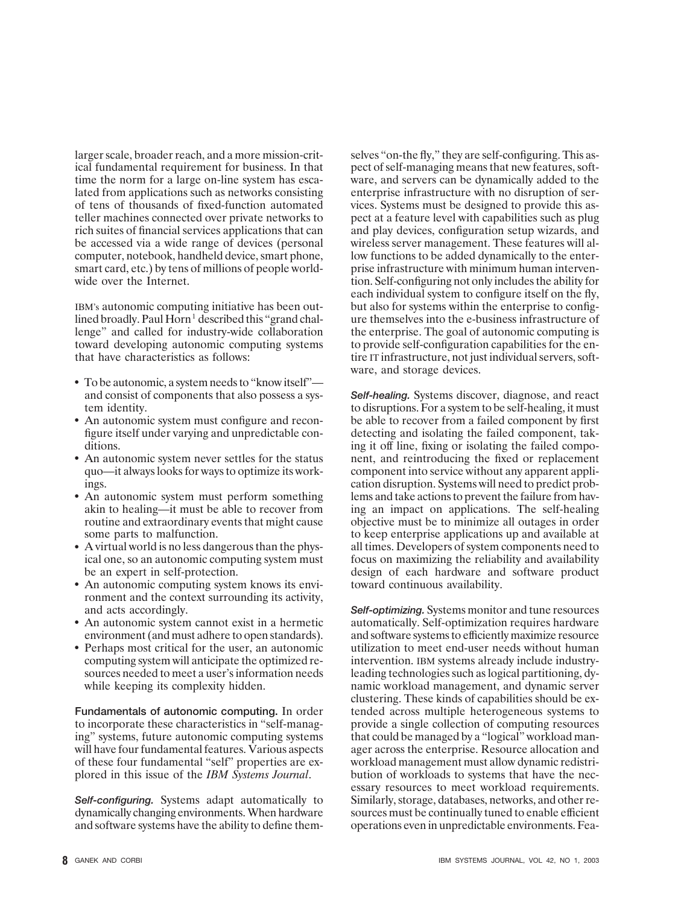larger scale, broader reach, and a more mission-critical fundamental requirement for business. In that time the norm for a large on-line system has escalated from applications such as networks consisting of tens of thousands of fixed-function automated teller machines connected over private networks to rich suites of financial services applications that can be accessed via a wide range of devices (personal computer, notebook, handheld device, smart phone, smart card, etc.) by tens of millions of people worldwide over the Internet.

IBM's autonomic computing initiative has been outlined broadly. Paul  $Horn<sup>1</sup>$  described this "grand challenge" and called for industry-wide collaboration toward developing autonomic computing systems that have characteristics as follows:

- To be autonomic, a system needs to "know itself" and consist of components that also possess a system identity.
- An autonomic system must configure and reconfigure itself under varying and unpredictable conditions.
- An autonomic system never settles for the status quo—it always looks for ways to optimize its workings.
- An autonomic system must perform something akin to healing—it must be able to recover from routine and extraordinary events that might cause some parts to malfunction.
- A virtual world is no less dangerous than the physical one, so an autonomic computing system must be an expert in self-protection.
- An autonomic computing system knows its environment and the context surrounding its activity, and acts accordingly.
- An autonomic system cannot exist in a hermetic environment (and must adhere to open standards).
- Perhaps most critical for the user, an autonomic computing system will anticipate the optimized resources needed to meet a user's information needs while keeping its complexity hidden.

**Fundamentals of autonomic computing.** In order to incorporate these characteristics in "self-managing" systems, future autonomic computing systems will have four fundamental features. Various aspects of these four fundamental "self" properties are explored in this issue of the *IBM Systems Journal*.

*Self-configuring.* Systems adapt automatically to dynamically changing environments. When hardware and software systems have the ability to define themselves "on-the fly," they are self-configuring. This aspect of self-managing means that new features, software, and servers can be dynamically added to the enterprise infrastructure with no disruption of services. Systems must be designed to provide this aspect at a feature level with capabilities such as plug and play devices, configuration setup wizards, and wireless server management. These features will allow functions to be added dynamically to the enterprise infrastructure with minimum human intervention. Self-configuring not only includes the ability for each individual system to configure itself on the fly, but also for systems within the enterprise to configure themselves into the e-business infrastructure of the enterprise. The goal of autonomic computing is to provide self-configuration capabilities for the entire IT infrastructure, not just individual servers, software, and storage devices.

*Self-healing.* Systems discover, diagnose, and react to disruptions. For a system to be self-healing, it must be able to recover from a failed component by first detecting and isolating the failed component, taking it off line, fixing or isolating the failed component, and reintroducing the fixed or replacement component into service without any apparent application disruption. Systems will need to predict problems and take actions to prevent the failure from having an impact on applications. The self-healing objective must be to minimize all outages in order to keep enterprise applications up and available at all times. Developers of system components need to focus on maximizing the reliability and availability design of each hardware and software product toward continuous availability.

*Self-optimizing.* Systems monitor and tune resources automatically. Self-optimization requires hardware and software systems to efficiently maximize resource utilization to meet end-user needs without human intervention. IBM systems already include industryleading technologies such as logical partitioning, dynamic workload management, and dynamic server clustering. These kinds of capabilities should be extended across multiple heterogeneous systems to provide a single collection of computing resources that could be managed by a "logical" workload manager across the enterprise. Resource allocation and workload management must allow dynamic redistribution of workloads to systems that have the necessary resources to meet workload requirements. Similarly, storage, databases, networks, and other resources must be continually tuned to enable efficient operations even in unpredictable environments. Fea-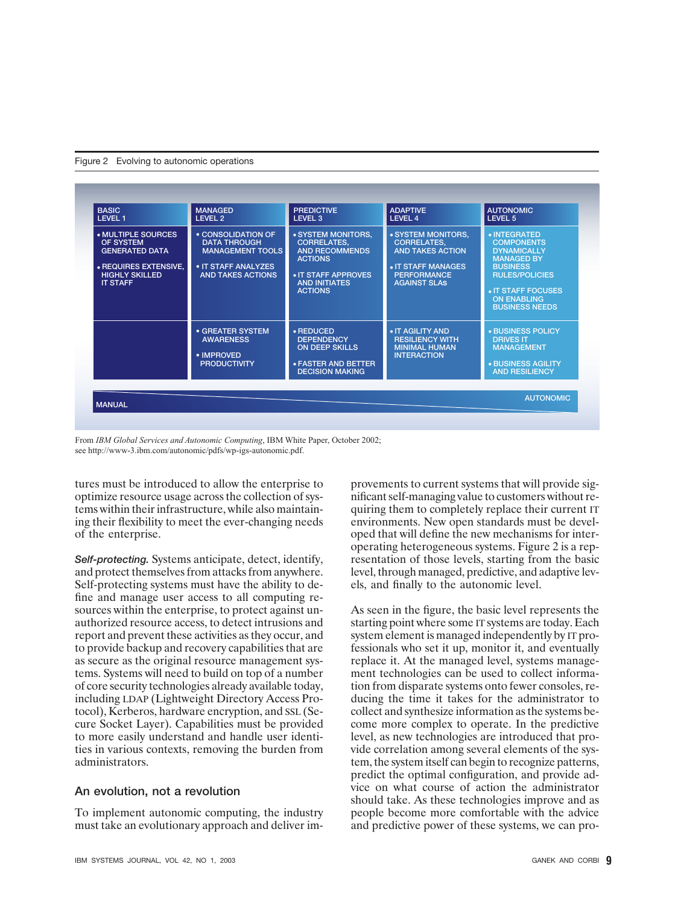



From *IBM Global Services and Autonomic Computing*, IBM White Paper, October 2002; see http://www-3.ibm.com/autonomic/pdfs/wp-igs-autonomic.pdf.

tures must be introduced to allow the enterprise to optimize resource usage across the collection of systems within their infrastructure, while also maintaining their flexibility to meet the ever-changing needs of the enterprise.

*Self-protecting.* Systems anticipate, detect, identify, and protect themselves from attacks from anywhere. Self-protecting systems must have the ability to define and manage user access to all computing resources within the enterprise, to protect against unauthorized resource access, to detect intrusions and report and prevent these activities as they occur, and to provide backup and recovery capabilities that are as secure as the original resource management systems. Systems will need to build on top of a number of core security technologies already available today, including LDAP (Lightweight Directory Access Protocol), Kerberos, hardware encryption, and SSL (Secure Socket Layer). Capabilities must be provided to more easily understand and handle user identities in various contexts, removing the burden from administrators.

### **An evolution, not a revolution**

To implement autonomic computing, the industry must take an evolutionary approach and deliver im-

provements to current systems that will provide significant self-managing value to customers without requiring them to completely replace their current IT environments. New open standards must be developed that will define the new mechanisms for interoperating heterogeneous systems. Figure 2 is a representation of those levels, starting from the basic level, through managed, predictive, and adaptive levels, and finally to the autonomic level.

As seen in the figure, the basic level represents the starting point where some IT systems are today. Each system element is managed independently by IT professionals who set it up, monitor it, and eventually replace it. At the managed level, systems management technologies can be used to collect information from disparate systems onto fewer consoles, reducing the time it takes for the administrator to collect and synthesize information as the systems become more complex to operate. In the predictive level, as new technologies are introduced that provide correlation among several elements of the system, the system itself can begin to recognize patterns, predict the optimal configuration, and provide advice on what course of action the administrator should take. As these technologies improve and as people become more comfortable with the advice and predictive power of these systems, we can pro-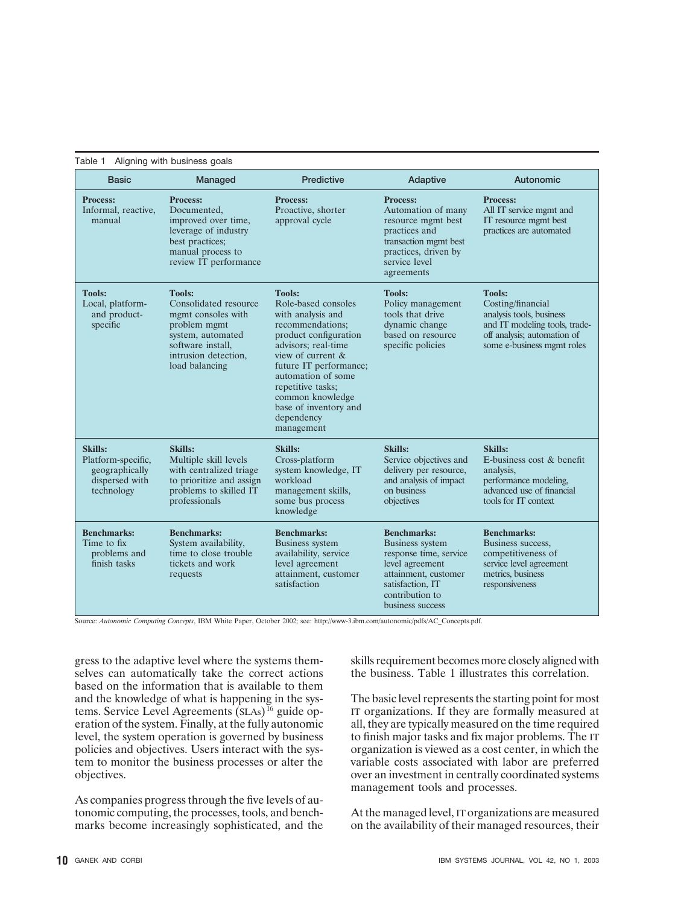| Table 1 Aligning with business goals                                                   |                                                                                                                                                                  |                                                                                                                                                                                                                                                                                                  |                                                                                                                                                                              |                                                                                                                                                              |
|----------------------------------------------------------------------------------------|------------------------------------------------------------------------------------------------------------------------------------------------------------------|--------------------------------------------------------------------------------------------------------------------------------------------------------------------------------------------------------------------------------------------------------------------------------------------------|------------------------------------------------------------------------------------------------------------------------------------------------------------------------------|--------------------------------------------------------------------------------------------------------------------------------------------------------------|
| <b>Basic</b>                                                                           | Managed                                                                                                                                                          | <b>Predictive</b>                                                                                                                                                                                                                                                                                | Adaptive                                                                                                                                                                     | Autonomic                                                                                                                                                    |
| <b>Process:</b><br>Informal, reactive,<br>manual                                       | <b>Process:</b><br>Documented.<br>improved over time,<br>leverage of industry<br>best practices;<br>manual process to<br>review IT performance                   | <b>Process:</b><br>Proactive, shorter<br>approval cycle                                                                                                                                                                                                                                          | <b>Process:</b><br>Automation of many<br>resource mgmt best<br>practices and<br>transaction mgmt best<br>practices, driven by<br>service level<br>agreements                 | <b>Process:</b><br>All IT service mgmt and<br>IT resource mgmt best<br>practices are automated                                                               |
| <b>Tools:</b><br>Local, platform-<br>and product-<br>specific                          | <b>Tools:</b><br>Consolidated resource<br>mgmt consoles with<br>problem mgmt<br>system, automated<br>software install,<br>intrusion detection,<br>load balancing | <b>Tools:</b><br>Role-based consoles<br>with analysis and<br>recommendations;<br>product configuration<br>advisors: real-time<br>view of current &<br>future IT performance;<br>automation of some<br>repetitive tasks;<br>common knowledge<br>base of inventory and<br>dependency<br>management | <b>Tools:</b><br>Policy management<br>tools that drive<br>dynamic change<br>based on resource<br>specific policies                                                           | <b>Tools:</b><br>Costing/financial<br>analysis tools, business<br>and IT modeling tools, trade-<br>off analysis; automation of<br>some e-business mgmt roles |
| <b>Skills:</b><br>Platform-specific,<br>geographically<br>dispersed with<br>technology | Skills:<br>Multiple skill levels<br>with centralized triage<br>to prioritize and assign<br>problems to skilled IT<br>professionals                               | <b>Skills:</b><br>Cross-platform<br>system knowledge, IT<br>workload<br>management skills,<br>some bus process<br>knowledge                                                                                                                                                                      | <b>Skills:</b><br>Service objectives and<br>delivery per resource,<br>and analysis of impact<br>on business<br>objectives                                                    | Skills:<br>E-business cost $\&$ benefit<br>analysis,<br>performance modeling,<br>advanced use of financial<br>tools for IT context                           |
| <b>Benchmarks:</b><br>Time to fix<br>problems and<br>finish tasks                      | <b>Benchmarks:</b><br>System availability,<br>time to close trouble<br>tickets and work<br>requests                                                              | <b>Benchmarks:</b><br><b>Business</b> system<br>availability, service<br>level agreement<br>attainment, customer<br>satisfaction                                                                                                                                                                 | <b>Benchmarks:</b><br><b>Business</b> system<br>response time, service<br>level agreement<br>attainment, customer<br>satisfaction, IT<br>contribution to<br>business success | <b>Benchmarks:</b><br>Business success.<br>competitiveness of<br>service level agreement<br>metrics, business<br>responsiveness                              |

Source: *Autonomic Computing Concepts*, IBM White Paper, October 2002; see: http://www-3.ibm.com/autonomic/pdfs/AC\_Concepts.pdf.

gress to the adaptive level where the systems themselves can automatically take the correct actions based on the information that is available to them and the knowledge of what is happening in the systems. Service Level Agreements (SLAs)<sup>16</sup> guide operation of the system. Finally, at the fully autonomic level, the system operation is governed by business policies and objectives. Users interact with the system to monitor the business processes or alter the objectives.

As companies progress through the five levels of autonomic computing, the processes, tools, and benchmarks become increasingly sophisticated, and the skills requirement becomes more closely aligned with the business. Table 1 illustrates this correlation.

The basic level represents the starting point for most IT organizations. If they are formally measured at all, they are typically measured on the time required to finish major tasks and fix major problems. The IT organization is viewed as a cost center, in which the variable costs associated with labor are preferred over an investment in centrally coordinated systems management tools and processes.

At the managed level, IT organizations are measured on the availability of their managed resources, their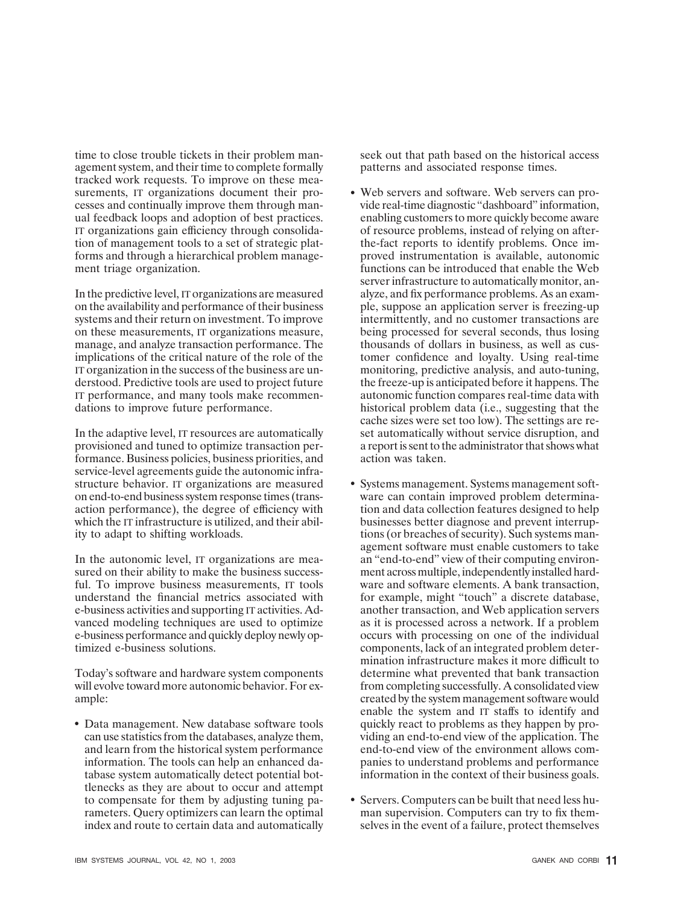time to close trouble tickets in their problem management system, and their time to complete formally tracked work requests. To improve on these measurements, IT organizations document their processes and continually improve them through manual feedback loops and adoption of best practices. IT organizations gain efficiency through consolidation of management tools to a set of strategic platforms and through a hierarchical problem management triage organization.

In the predictive level, IT organizations are measured on the availability and performance of their business systems and their return on investment. To improve on these measurements, IT organizations measure, manage, and analyze transaction performance. The implications of the critical nature of the role of the IT organization in the success of the business are understood. Predictive tools are used to project future IT performance, and many tools make recommendations to improve future performance.

In the adaptive level, IT resources are automatically provisioned and tuned to optimize transaction performance. Business policies, business priorities, and service-level agreements guide the autonomic infrastructure behavior. IT organizations are measured on end-to-end business system response times (transaction performance), the degree of efficiency with which the IT infrastructure is utilized, and their ability to adapt to shifting workloads.

In the autonomic level, IT organizations are measured on their ability to make the business successful. To improve business measurements, IT tools understand the financial metrics associated with e-business activities and supporting IT activities. Advanced modeling techniques are used to optimize e-business performance and quickly deploy newly optimized e-business solutions.

Today's software and hardware system components will evolve toward more autonomic behavior. For example:

• Data management. New database software tools can use statistics from the databases, analyze them, and learn from the historical system performance information. The tools can help an enhanced database system automatically detect potential bottlenecks as they are about to occur and attempt to compensate for them by adjusting tuning parameters. Query optimizers can learn the optimal index and route to certain data and automatically seek out that path based on the historical access patterns and associated response times.

- Web servers and software. Web servers can provide real-time diagnostic "dashboard" information, enabling customers to more quickly become aware of resource problems, instead of relying on afterthe-fact reports to identify problems. Once improved instrumentation is available, autonomic functions can be introduced that enable the Web server infrastructure to automatically monitor, analyze, and fix performance problems. As an example, suppose an application server is freezing-up intermittently, and no customer transactions are being processed for several seconds, thus losing thousands of dollars in business, as well as customer confidence and loyalty. Using real-time monitoring, predictive analysis, and auto-tuning, the freeze-up is anticipated before it happens. The autonomic function compares real-time data with historical problem data (i.e., suggesting that the cache sizes were set too low). The settings are reset automatically without service disruption, and a report is sent to the administrator that shows what action was taken.
- Systems management. Systems management software can contain improved problem determination and data collection features designed to help businesses better diagnose and prevent interruptions (or breaches of security). Such systems management software must enable customers to take an "end-to-end" view of their computing environment across multiple, independently installed hardware and software elements. A bank transaction, for example, might "touch" a discrete database, another transaction, and Web application servers as it is processed across a network. If a problem occurs with processing on one of the individual components, lack of an integrated problem determination infrastructure makes it more difficult to determine what prevented that bank transaction from completing successfully. A consolidated view created by the system management software would enable the system and IT staffs to identify and quickly react to problems as they happen by providing an end-to-end view of the application. The end-to-end view of the environment allows companies to understand problems and performance information in the context of their business goals.
- Servers. Computers can be built that need less human supervision. Computers can try to fix themselves in the event of a failure, protect themselves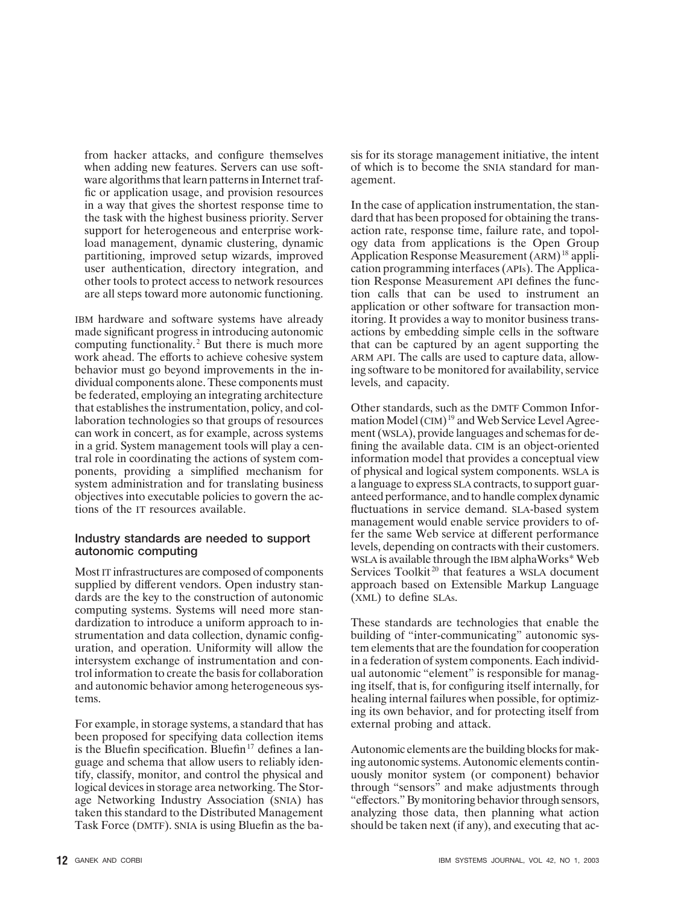from hacker attacks, and configure themselves when adding new features. Servers can use software algorithms that learn patterns in Internet traffic or application usage, and provision resources in a way that gives the shortest response time to the task with the highest business priority. Server support for heterogeneous and enterprise workload management, dynamic clustering, dynamic partitioning, improved setup wizards, improved user authentication, directory integration, and other tools to protect access to network resources are all steps toward more autonomic functioning.

IBM hardware and software systems have already made significant progress in introducing autonomic computing functionality.<sup>2</sup> But there is much more work ahead. The efforts to achieve cohesive system behavior must go beyond improvements in the individual components alone. These components must be federated, employing an integrating architecture that establishes the instrumentation, policy, and collaboration technologies so that groups of resources can work in concert, as for example, across systems in a grid. System management tools will play a central role in coordinating the actions of system components, providing a simplified mechanism for system administration and for translating business objectives into executable policies to govern the actions of the IT resources available.

### **Industry standards are needed to support autonomic computing**

Most IT infrastructures are composed of components supplied by different vendors. Open industry standards are the key to the construction of autonomic computing systems. Systems will need more standardization to introduce a uniform approach to instrumentation and data collection, dynamic configuration, and operation. Uniformity will allow the intersystem exchange of instrumentation and control information to create the basis for collaboration and autonomic behavior among heterogeneous systems.

For example, in storage systems, a standard that has been proposed for specifying data collection items is the Bluefin specification. Bluefin<sup>17</sup> defines a language and schema that allow users to reliably identify, classify, monitor, and control the physical and logical devices in storage area networking. The Storage Networking Industry Association (SNIA) has taken this standard to the Distributed Management Task Force (DMTF). SNIA is using Bluefin as the basis for its storage management initiative, the intent of which is to become the SNIA standard for management.

In the case of application instrumentation, the standard that has been proposed for obtaining the transaction rate, response time, failure rate, and topology data from applications is the Open Group Application Response Measurement (ARM) <sup>18</sup> application programming interfaces (APIs). The Application Response Measurement API defines the function calls that can be used to instrument an application or other software for transaction monitoring. It provides a way to monitor business transactions by embedding simple cells in the software that can be captured by an agent supporting the ARM API. The calls are used to capture data, allowing software to be monitored for availability, service levels, and capacity.

Other standards, such as the DMTF Common Information Model (CIM)<sup>19</sup> and Web Service Level Agreement (WSLA), provide languages and schemas for defining the available data. CIM is an object-oriented information model that provides a conceptual view of physical and logical system components. WSLA is a language to express SLA contracts, to support guaranteed performance, and to handle complex dynamic fluctuations in service demand. SLA-based system management would enable service providers to offer the same Web service at different performance levels, depending on contracts with their customers. WSLA is available through the IBM alphaWorks\* Web Services Toolkit<sup>20</sup> that features a WSLA document approach based on Extensible Markup Language (XML) to define SLAs.

These standards are technologies that enable the building of "inter-communicating" autonomic system elements that are the foundation for cooperation in a federation of system components. Each individual autonomic "element" is responsible for managing itself, that is, for configuring itself internally, for healing internal failures when possible, for optimizing its own behavior, and for protecting itself from external probing and attack.

Autonomic elements are the building blocks for making autonomic systems. Autonomic elements continuously monitor system (or component) behavior through "sensors" and make adjustments through "effectors."By monitoring behavior through sensors, analyzing those data, then planning what action should be taken next (if any), and executing that ac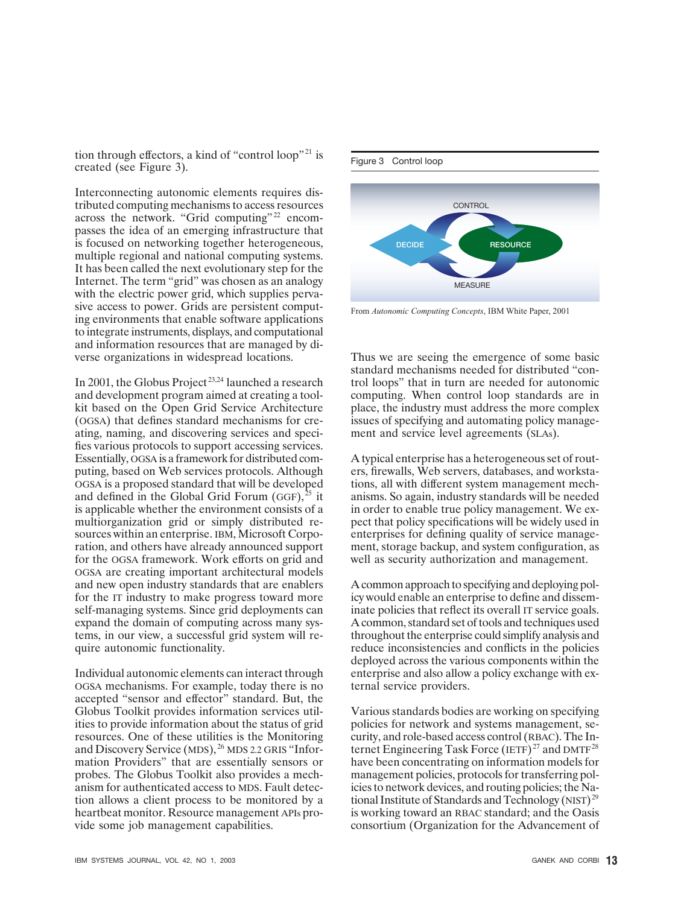tion through effectors, a kind of "control loop"<sup>21</sup> is created (see Figure 3).

Interconnecting autonomic elements requires distributed computing mechanisms to access resources across the network. "Grid computing"<sup>22</sup> encompasses the idea of an emerging infrastructure that is focused on networking together heterogeneous, multiple regional and national computing systems. It has been called the next evolutionary step for the Internet. The term "grid" was chosen as an analogy with the electric power grid, which supplies pervasive access to power. Grids are persistent computing environments that enable software applications to integrate instruments, displays, and computational and information resources that are managed by diverse organizations in widespread locations.

In 2001, the Globus Project 23,24 launched a research and development program aimed at creating a toolkit based on the Open Grid Service Architecture (OGSA) that defines standard mechanisms for creating, naming, and discovering services and specifies various protocols to support accessing services. Essentially, OGSA is a framework for distributed computing, based on Web services protocols. Although OGSA is a proposed standard that will be developed and defined in the Global Grid Forum (GGF),<sup>25</sup> it is applicable whether the environment consists of a multiorganization grid or simply distributed resources within an enterprise. IBM, Microsoft Corporation, and others have already announced support for the OGSA framework. Work efforts on grid and OGSA are creating important architectural models and new open industry standards that are enablers for the IT industry to make progress toward more self-managing systems. Since grid deployments can expand the domain of computing across many systems, in our view, a successful grid system will require autonomic functionality.

Individual autonomic elements can interact through OGSA mechanisms. For example, today there is no accepted "sensor and effector" standard. But, the Globus Toolkit provides information services utilities to provide information about the status of grid resources. One of these utilities is the Monitoring and Discovery Service (MDS), <sup>26</sup> MDS 2.2 GRIS "Information Providers" that are essentially sensors or probes. The Globus Toolkit also provides a mechanism for authenticated access to MDS. Fault detection allows a client process to be monitored by a heartbeat monitor. Resource management APIs provide some job management capabilities.



From *Autonomic Computing Concepts*, IBM White Paper, 2001

Thus we are seeing the emergence of some basic standard mechanisms needed for distributed "control loops" that in turn are needed for autonomic computing. When control loop standards are in place, the industry must address the more complex issues of specifying and automating policy management and service level agreements (SLAs).

A typical enterprise has a heterogeneous set of routers, firewalls, Web servers, databases, and workstations, all with different system management mechanisms. So again, industry standards will be needed in order to enable true policy management. We expect that policy specifications will be widely used in enterprises for defining quality of service management, storage backup, and system configuration, as well as security authorization and management.

A common approach to specifying and deploying policy would enable an enterprise to define and disseminate policies that reflect its overall IT service goals. A common, standard set of tools and techniques used throughout the enterprise could simplify analysis and reduce inconsistencies and conflicts in the policies deployed across the various components within the enterprise and also allow a policy exchange with external service providers.

Various standards bodies are working on specifying policies for network and systems management, security, and role-based access control (RBAC). The Internet Engineering Task Force (IETF)<sup>27</sup> and DMTF<sup>28</sup> have been concentrating on information models for management policies, protocols for transferring policies to network devices, and routing policies; the National Institute of Standards and Technology (NIST)<sup>29</sup> is working toward an RBAC standard; and the Oasis consortium (Organization for the Advancement of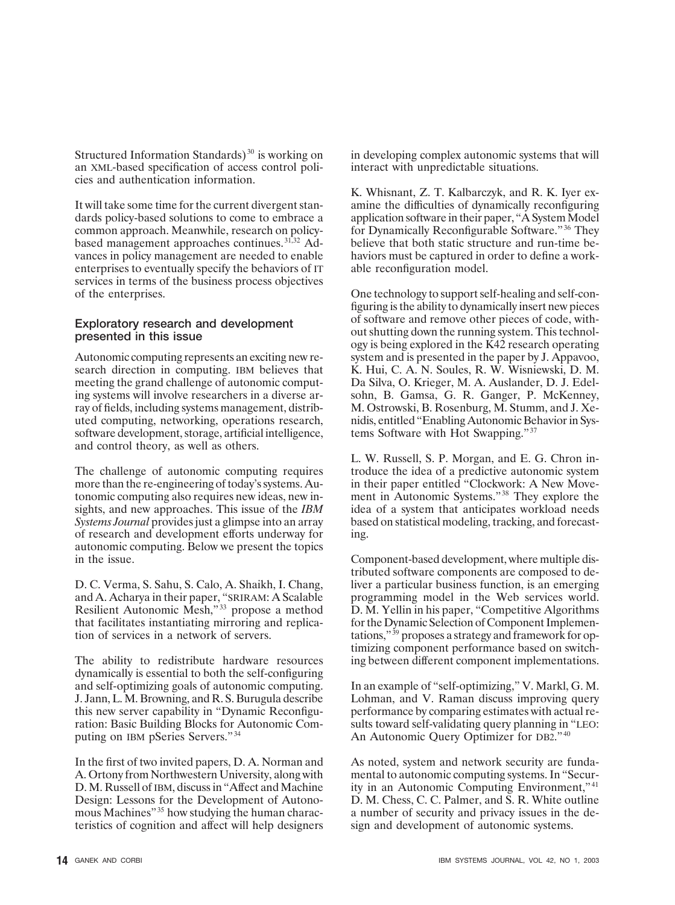Structured Information Standards)<sup>30</sup> is working on an XML-based specification of access control policies and authentication information.

It will take some time for the current divergent standards policy-based solutions to come to embrace a common approach. Meanwhile, research on policybased management approaches continues. 31,32 Advances in policy management are needed to enable enterprises to eventually specify the behaviors of IT services in terms of the business process objectives of the enterprises.

#### **Exploratory research and development presented in this issue**

Autonomic computing represents an exciting new research direction in computing. IBM believes that meeting the grand challenge of autonomic computing systems will involve researchers in a diverse array of fields, including systems management, distributed computing, networking, operations research, software development, storage, artificial intelligence, and control theory, as well as others.

The challenge of autonomic computing requires more than the re-engineering of today's systems. Autonomic computing also requires new ideas, new insights, and new approaches. This issue of the *IBM Systems Journal* provides just a glimpse into an array of research and development efforts underway for autonomic computing. Below we present the topics in the issue.

D. C. Verma, S. Sahu, S. Calo, A. Shaikh, I. Chang, and A. Acharya in their paper, "SRIRAM: A Scalable Resilient Autonomic Mesh,"<sup>33</sup> propose a method that facilitates instantiating mirroring and replication of services in a network of servers.

The ability to redistribute hardware resources dynamically is essential to both the self-configuring and self-optimizing goals of autonomic computing. J. Jann, L. M. Browning, and R. S. Burugula describe this new server capability in "Dynamic Reconfiguration: Basic Building Blocks for Autonomic Computing on IBM pSeries Servers."<sup>34</sup>

In the first of two invited papers, D. A. Norman and A. Ortony from Northwestern University, along with D. M. Russell of IBM, discuss in "Affect and Machine Design: Lessons for the Development of Autonomous Machines" <sup>35</sup> how studying the human characteristics of cognition and affect will help designers in developing complex autonomic systems that will interact with unpredictable situations.

K. Whisnant, Z. T. Kalbarczyk, and R. K. Iyer examine the difficulties of dynamically reconfiguring application software in their paper, "A System Model for Dynamically Reconfigurable Software." <sup>36</sup> They believe that both static structure and run-time behaviors must be captured in order to define a workable reconfiguration model.

One technology to support self-healing and self-configuring is the ability to dynamically insert new pieces of software and remove other pieces of code, without shutting down the running system. This technology is being explored in the K42 research operating system and is presented in the paper by J. Appavoo, K. Hui, C. A. N. Soules, R. W. Wisniewski, D. M. Da Silva, O. Krieger, M. A. Auslander, D. J. Edelsohn, B. Gamsa, G. R. Ganger, P. McKenney, M. Ostrowski, B. Rosenburg, M. Stumm, and J. Xenidis, entitled "Enabling Autonomic Behavior in Systems Software with Hot Swapping." <sup>37</sup>

L. W. Russell, S. P. Morgan, and E. G. Chron introduce the idea of a predictive autonomic system in their paper entitled "Clockwork: A New Movement in Autonomic Systems." <sup>38</sup> They explore the idea of a system that anticipates workload needs based on statistical modeling, tracking, and forecasting.

Component-based development, where multiple distributed software components are composed to deliver a particular business function, is an emerging programming model in the Web services world. D. M. Yellin in his paper, "Competitive Algorithms for the Dynamic Selection of Component Implementations," <sup>39</sup> proposes a strategy and framework for optimizing component performance based on switching between different component implementations.

In an example of "self-optimizing," V. Markl, G. M. Lohman, and V. Raman discuss improving query performance by comparing estimates with actual results toward self-validating query planning in "LEO: An Autonomic Query Optimizer for DB2." <sup>40</sup>

As noted, system and network security are fundamental to autonomic computing systems. In "Security in an Autonomic Computing Environment,"<sup>41</sup> D. M. Chess, C. C. Palmer, and S. R. White outline a number of security and privacy issues in the design and development of autonomic systems.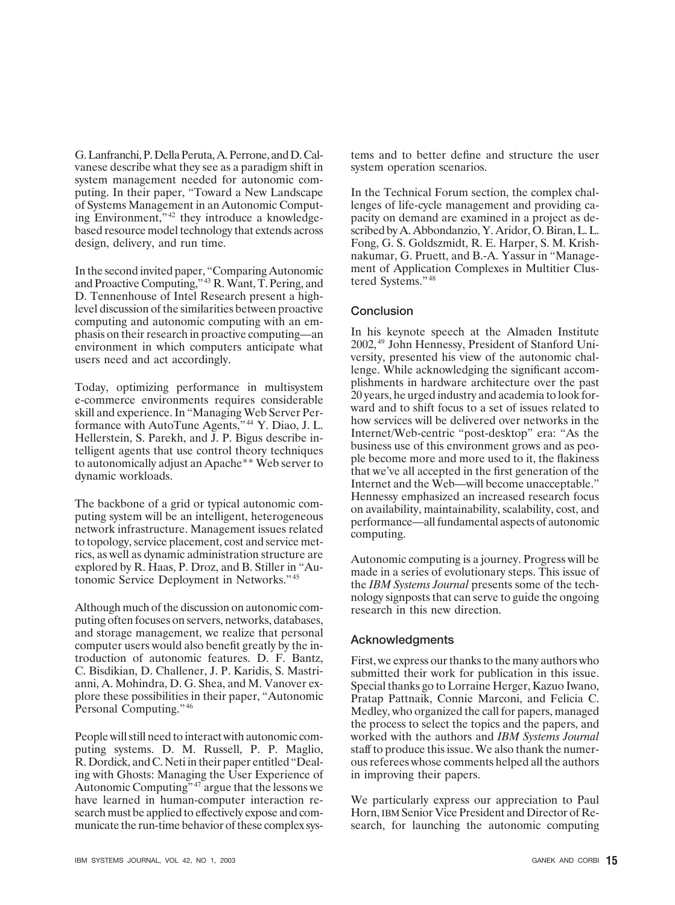G. Lanfranchi, P. Della Peruta, A. Perrone, and D. Calvanese describe what they see as a paradigm shift in system management needed for autonomic computing. In their paper, "Toward a New Landscape of Systems Management in an Autonomic Computing Environment,"<sup>42</sup> they introduce a knowledgebased resource model technology that extends across design, delivery, and run time.

In the second invited paper, "Comparing Autonomic and Proactive Computing," <sup>43</sup> R. Want, T. Pering, and D. Tennenhouse of Intel Research present a highlevel discussion of the similarities between proactive computing and autonomic computing with an emphasis on their research in proactive computing—an environment in which computers anticipate what users need and act accordingly.

Today, optimizing performance in multisystem e-commerce environments requires considerable skill and experience. In "Managing Web Server Performance with AutoTune Agents," <sup>44</sup> Y. Diao, J. L. Hellerstein, S. Parekh, and J. P. Bigus describe intelligent agents that use control theory techniques to autonomically adjust an Apache\*\* Web server to dynamic workloads.

The backbone of a grid or typical autonomic computing system will be an intelligent, heterogeneous network infrastructure. Management issues related to topology, service placement, cost and service metrics, as well as dynamic administration structure are explored by R. Haas, P. Droz, and B. Stiller in "Autonomic Service Deployment in Networks." <sup>45</sup>

Although much of the discussion on autonomic computing often focuses on servers, networks, databases, and storage management, we realize that personal computer users would also benefit greatly by the introduction of autonomic features. D. F. Bantz, C. Bisdikian, D. Challener, J. P. Karidis, S. Mastrianni, A. Mohindra, D. G. Shea, and M. Vanover explore these possibilities in their paper, "Autonomic Personal Computing."<sup>46</sup>

People will still need to interact with autonomic computing systems. D. M. Russell, P. P. Maglio, R. Dordick, and C. Neti in their paper entitled "Dealing with Ghosts: Managing the User Experience of Autonomic Computing"<sup>47</sup> argue that the lessons we have learned in human-computer interaction research must be applied to effectively expose and communicate the run-time behavior of these complex sys-

tems and to better define and structure the user system operation scenarios.

In the Technical Forum section, the complex challenges of life-cycle management and providing capacity on demand are examined in a project as described by A. Abbondanzio, Y. Aridor, O. Biran, L. L. Fong, G. S. Goldszmidt, R. E. Harper, S. M. Krishnakumar, G. Pruett, and B.-A. Yassur in "Management of Application Complexes in Multitier Clustered Systems." <sup>48</sup>

### **Conclusion**

In his keynote speech at the Almaden Institute 2002, <sup>49</sup> John Hennessy, President of Stanford University, presented his view of the autonomic challenge. While acknowledging the significant accomplishments in hardware architecture over the past 20 years, he urged industry and academia to look forward and to shift focus to a set of issues related to how services will be delivered over networks in the Internet/Web-centric "post-desktop" era: "As the business use of this environment grows and as people become more and more used to it, the flakiness that we've all accepted in the first generation of the Internet and the Web—will become unacceptable." Hennessy emphasized an increased research focus on availability, maintainability, scalability, cost, and performance—all fundamental aspects of autonomic computing.

Autonomic computing is a journey. Progress will be made in a series of evolutionary steps. This issue of the *IBM Systems Journal* presents some of the technology signposts that can serve to guide the ongoing research in this new direction.

## **Acknowledgments**

First, we express our thanks to the many authors who submitted their work for publication in this issue. Special thanks go to Lorraine Herger, Kazuo Iwano, Pratap Pattnaik, Connie Marconi, and Felicia C. Medley, who organized the call for papers, managed the process to select the topics and the papers, and worked with the authors and *IBM Systems Journal* staff to produce this issue. We also thank the numerous referees whose comments helped all the authors in improving their papers.

We particularly express our appreciation to Paul Horn, IBM Senior Vice President and Director of Research, for launching the autonomic computing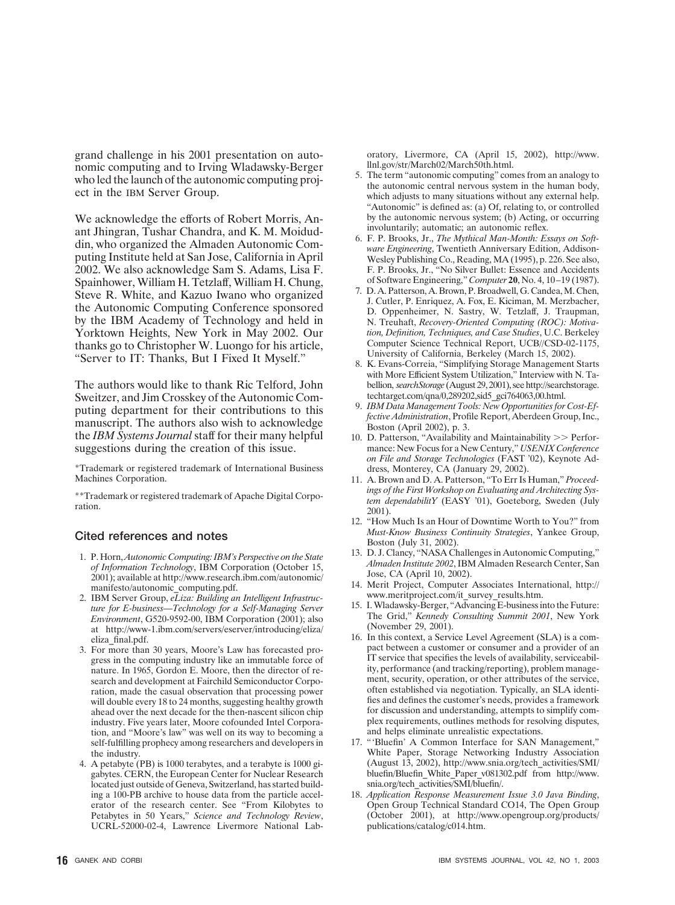grand challenge in his 2001 presentation on autonomic computing and to Irving Wladawsky-Berger who led the launch of the autonomic computing project in the IBM Server Group.

We acknowledge the efforts of Robert Morris, Anant Jhingran, Tushar Chandra, and K. M. Moiduddin, who organized the Almaden Autonomic Computing Institute held at San Jose, California in April 2002. We also acknowledge Sam S. Adams, Lisa F. Spainhower, William H. Tetzlaff, William H. Chung, Steve R. White, and Kazuo Iwano who organized the Autonomic Computing Conference sponsored by the IBM Academy of Technology and held in Yorktown Heights, New York in May 2002. Our thanks go to Christopher W. Luongo for his article, "Server to IT: Thanks, But I Fixed It Myself."

The authors would like to thank Ric Telford, John Sweitzer, and Jim Crosskey of the Autonomic Computing department for their contributions to this manuscript. The authors also wish to acknowledge the *IBM Systems Journal* staff for their many helpful suggestions during the creation of this issue.

\*Trademark or registered trademark of International Business Machines Corporation.

\*\*Trademark or registered trademark of Apache Digital Corporation.

### **Cited references and notes**

- 1. P. Horn,*Autonomic Computing: IBM's Perspective on the State of Information Technology*, IBM Corporation (October 15, 2001); available at http://www.research.ibm.com/autonomic/ manifesto/autonomic\_computing.pdf.
- 2. IBM Server Group, *eLiza: Building an Intelligent Infrastructure for E-business—Technology for a Self-Managing Server Environment*, G520-9592-00, IBM Corporation (2001); also at http://www-1.ibm.com/servers/eserver/introducing/eliza/ eliza\_final.pdf.
- 3. For more than 30 years, Moore's Law has forecasted progress in the computing industry like an immutable force of nature. In 1965, Gordon E. Moore, then the director of research and development at Fairchild Semiconductor Corporation, made the casual observation that processing power will double every 18 to 24 months, suggesting healthy growth ahead over the next decade for the then-nascent silicon chip industry. Five years later, Moore cofounded Intel Corporation, and "Moore's law" was well on its way to becoming a self-fulfilling prophecy among researchers and developers in the industry.
- 4. A petabyte (PB) is 1000 terabytes, and a terabyte is 1000 gigabytes. CERN, the European Center for Nuclear Research located just outside of Geneva, Switzerland, has started building a 100-PB archive to house data from the particle accelerator of the research center. See "From Kilobytes to Petabytes in 50 Years," *Science and Technology Review*, UCRL-52000-02-4, Lawrence Livermore National Lab-

oratory, Livermore, CA (April 15, 2002), http://www. llnl.gov/str/March02/March50th.html.

- 5. The term "autonomic computing" comes from an analogy to the autonomic central nervous system in the human body, which adjusts to many situations without any external help. "Autonomic" is defined as: (a) Of, relating to, or controlled by the autonomic nervous system; (b) Acting, or occurring involuntarily; automatic; an autonomic reflex.
- 6. F. P. Brooks, Jr., *The Mythical Man-Month: Essays on Software Engineering*, Twentieth Anniversary Edition, Addison-Wesley Publishing Co., Reading, MA (1995), p. 226. See also, F. P. Brooks, Jr., "No Silver Bullet: Essence and Accidents of Software Engineering," *Computer* **20**, No. 4, 10–19 (1987).
- 7. D. A. Patterson, A. Brown, P. Broadwell, G. Candea, M. Chen, J. Cutler, P. Enriquez, A. Fox, E. Kiciman, M. Merzbacher, D. Oppenheimer, N. Sastry, W. Tetzlaff, J. Traupman, N. Treuhaft, *Recovery-Oriented Computing (ROC): Motivation, Definition, Techniques, and Case Studies*, U.C. Berkeley Computer Science Technical Report, UCB//CSD-02-1175, University of California, Berkeley (March 15, 2002).
- 8. K. Evans-Correia, "Simplifying Storage Management Starts with More Efficient System Utilization," Interview with N. Tabellion, *searchStorage* (August 29, 2001), see http://searchstorage. techtarget.com/qna/0,289202,sid5\_gci764063,00.html.
- 9. *IBM Data Management Tools: New Opportunities for Cost-Effective Administration*, Profile Report, Aberdeen Group, Inc., Boston (April 2002), p. 3.
- 10. D. Patterson, "Availability and Maintainability  $\gg$  Performance: New Focus for a New Century," *USENIX Conference on File and Storage Technologies* (FAST '02), Keynote Address, Monterey, CA (January 29, 2002).
- 11. A. Brown and D. A. Patterson, "To Err Is Human," *Proceedings of the First Workshop on Evaluating and Architecting System dependabilitY* (EASY '01), Goeteborg, Sweden (July 2001).
- 12. "How Much Is an Hour of Downtime Worth to You?" from *Must-Know Business Continuity Strategies*, Yankee Group, Boston (July 31, 2002).
- 13. D. J. Clancy, "NASA Challenges in Autonomic Computing," *Almaden Institute 2002*, IBM Almaden Research Center, San Jose, CA (April 10, 2002).
- 14. Merit Project, Computer Associates International, http:// www.meritproject.com/it\_survey\_results.htm.
- 15. I. Wladawsky-Berger, "Advancing E-business into the Future: The Grid," *Kennedy Consulting Summit 2001*, New York (November 29, 2001).
- 16. In this context, a Service Level Agreement (SLA) is a compact between a customer or consumer and a provider of an IT service that specifies the levels of availability, serviceability, performance (and tracking/reporting), problem management, security, operation, or other attributes of the service, often established via negotiation. Typically, an SLA identifies and defines the customer's needs, provides a framework for discussion and understanding, attempts to simplify complex requirements, outlines methods for resolving disputes, and helps eliminate unrealistic expectations.
- 17. " 'Bluefin' A Common Interface for SAN Management," White Paper, Storage Networking Industry Association (August 13, 2002), http://www.snia.org/tech\_activities/SMI/ bluefin/Bluefin\_White\_Paper\_v081302.pdf from http://www. snia.org/tech\_activities/SMI/bluefin/.
- 18. *Application Response Measurement Issue 3.0 Java Binding*, Open Group Technical Standard CO14, The Open Group (October 2001), at http://www.opengroup.org/products/ publications/catalog/c014.htm.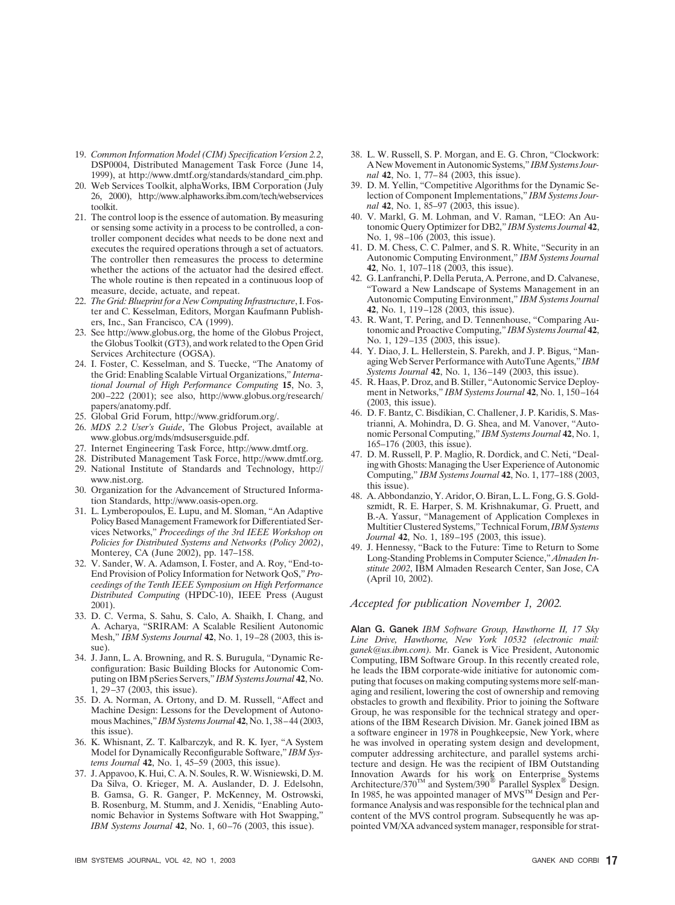- 19. *Common Information Model (CIM) Specification Version 2.2*, DSP0004, Distributed Management Task Force (June 14, 1999), at http://www.dmtf.org/standards/standard\_cim.php.
- 20. Web Services Toolkit, alphaWorks, IBM Corporation (July 26, 2000), http://www.alphaworks.ibm.com/tech/webservices toolkit.
- 21. The control loop is the essence of automation. By measuring or sensing some activity in a process to be controlled, a controller component decides what needs to be done next and executes the required operations through a set of actuators. The controller then remeasures the process to determine whether the actions of the actuator had the desired effect. The whole routine is then repeated in a continuous loop of measure, decide, actuate, and repeat.
- 22. *The Grid: Blueprint for a New Computing Infrastructure*, I. Foster and C. Kesselman, Editors, Morgan Kaufmann Publishers, Inc., San Francisco, CA (1999).
- 23. See http://www.globus.org, the home of the Globus Project, the Globus Toolkit (GT3), and work related to the Open Grid Services Architecture (OGSA).
- 24. I. Foster, C. Kesselman, and S. Tuecke, "The Anatomy of the Grid: Enabling Scalable Virtual Organizations," *International Journal of High Performance Computing* **15**, No. 3, 200–222 (2001); see also, http://www.globus.org/research/ papers/anatomy.pdf.
- 25. Global Grid Forum, http://www.gridforum.org/.
- 26. *MDS 2.2 User's Guide*, The Globus Project, available at www.globus.org/mds/mdsusersguide.pdf.
- 27. Internet Engineering Task Force, http://www.dmtf.org.
- 28. Distributed Management Task Force, http://www.dmtf.org.
- 29. National Institute of Standards and Technology, http:// www.nist.org.
- 30. Organization for the Advancement of Structured Information Standards, http://www.oasis-open.org.
- 31. L. Lymberopoulos, E. Lupu, and M. Sloman, "An Adaptive Policy Based Management Framework for Differentiated Services Networks," *Proceedings of the 3rd IEEE Workshop on Policies for Distributed Systems and Networks (Policy 2002)*, Monterey, CA (June 2002), pp. 147–158.
- 32. V. Sander, W. A. Adamson, I. Foster, and A. Roy, "End-to-End Provision of Policy Information for Network QoS," *Proceedings of the Tenth IEEE Symposium on High Performance Distributed Computing* (HPDC-10), IEEE Press (August 2001).
- 33. D. C. Verma, S. Sahu, S. Calo, A. Shaikh, I. Chang, and A. Acharya, "SRIRAM: A Scalable Resilient Autonomic Mesh," *IBM Systems Journal* **42**, No. 1, 19–28 (2003, this issue).
- 34. J. Jann, L. A. Browning, and R. S. Burugula, "Dynamic Reconfiguration: Basic Building Blocks for Autonomic Computing on IBM pSeries Servers," *IBM Systems Journal* **42**, No. 1, 29–37 (2003, this issue).
- 35. D. A. Norman, A. Ortony, and D. M. Russell, "Affect and Machine Design: Lessons for the Development of Autonomous Machines," *IBM Systems Journal* **42**, No. 1, 38–44 (2003, this issue).
- 36. K. Whisnant, Z. T. Kalbarczyk, and R. K. Iyer, "A System Model for Dynamically Reconfigurable Software," *IBM Systems Journal* **42**, No. 1, 45–59 (2003, this issue).
- 37. J. Appavoo, K. Hui, C. A. N. Soules, R. W. Wisniewski, D. M. Da Silva, O. Krieger, M. A. Auslander, D. J. Edelsohn, B. Gamsa, G. R. Ganger, P. McKenney, M. Ostrowski, B. Rosenburg, M. Stumm, and J. Xenidis, "Enabling Autonomic Behavior in Systems Software with Hot Swapping," *IBM Systems Journal* **42**, No. 1, 60–76 (2003, this issue).
- 38. L. W. Russell, S. P. Morgan, and E. G. Chron, "Clockwork: A New Movement in Autonomic Systems," *IBM Systems Journal* **42**, No. 1, 77–84 (2003, this issue).
- 39. D. M. Yellin, "Competitive Algorithms for the Dynamic Selection of Component Implementations," *IBM Systems Journal* **42**, No. 1, 85–97 (2003, this issue).
- 40. V. Markl, G. M. Lohman, and V. Raman, "LEO: An Autonomic Query Optimizer for DB2," *IBM Systems Journal* **42**, No. 1, 98–106 (2003, this issue).
- 41. D. M. Chess, C. C. Palmer, and S. R. White, "Security in an Autonomic Computing Environment," *IBM Systems Journal* **42**, No. 1, 107–118 (2003, this issue).
- 42. G. Lanfranchi, P. Della Peruta, A. Perrone, and D. Calvanese, "Toward a New Landscape of Systems Management in an Autonomic Computing Environment," *IBM Systems Journal* **42**, No. 1, 119–128 (2003, this issue).
- 43. R. Want, T. Pering, and D. Tennenhouse, "Comparing Autonomic and Proactive Computing," *IBM Systems Journal* **42**, No. 1, 129–135 (2003, this issue).
- 44. Y. Diao, J. L. Hellerstein, S. Parekh, and J. P. Bigus, "Managing Web Server Performance with AutoTune Agents," *IBM Systems Journal* **42**, No. 1, 136–149 (2003, this issue).
- 45. R. Haas, P. Droz, and B. Stiller, "Autonomic Service Deployment in Networks," *IBM Systems Journal* **42**, No. 1, 150–164 (2003, this issue).
- 46. D. F. Bantz, C. Bisdikian, C. Challener, J. P. Karidis, S. Mastrianni, A. Mohindra, D. G. Shea, and M. Vanover, "Autonomic Personal Computing," *IBM Systems Journal* **42**, No. 1, 165–176 (2003, this issue).
- 47. D. M. Russell, P. P. Maglio, R. Dordick, and C. Neti, "Dealing with Ghosts: Managing the User Experience of Autonomic Computing," *IBM Systems Journal* **42**, No. 1, 177–188 (2003, this issue).
- 48. A. Abbondanzio, Y. Aridor, O. Biran, L. L. Fong, G. S. Goldszmidt, R. E. Harper, S. M. Krishnakumar, G. Pruett, and B.-A. Yassur, "Management of Application Complexes in Multitier Clustered Systems," Technical Forum,*IBM Systems Journal* **42**, No. 1, 189–195 (2003, this issue).
- 49. J. Hennessy, "Back to the Future: Time to Return to Some Long-Standing Problems in Computer Science,"*Almaden Institute 2002*, IBM Almaden Research Center, San Jose, CA (April 10, 2002).

#### *Accepted for publication November 1, 2002.*

**Alan G. Ganek** *IBM Software Group, Hawthorne II, 17 Sky Line Drive, Hawthorne, New York 10532 (electronic mail: ganek@us.ibm.com).* Mr. Ganek is Vice President, Autonomic Computing, IBM Software Group. In this recently created role, he leads the IBM corporate-wide initiative for autonomic computing that focuses on making computing systems more self-managing and resilient, lowering the cost of ownership and removing obstacles to growth and flexibility. Prior to joining the Software Group, he was responsible for the technical strategy and operations of the IBM Research Division. Mr. Ganek joined IBM as a software engineer in 1978 in Poughkeepsie, New York, where he was involved in operating system design and development, computer addressing architecture, and parallel systems architecture and design. He was the recipient of IBM Outstanding Innovation Awards for his work on Enterprise<sub>®</sub> Systems<br>Architecture/370™ and System/390<sup>®</sup> Parallel Sysplex® Design. In 1985, he was appointed manager of MVS<sup>TM</sup> Design and Performance Analysis and was responsible for the technical plan and content of the MVS control program. Subsequently he was appointed VM/XA advanced system manager, responsible for strat